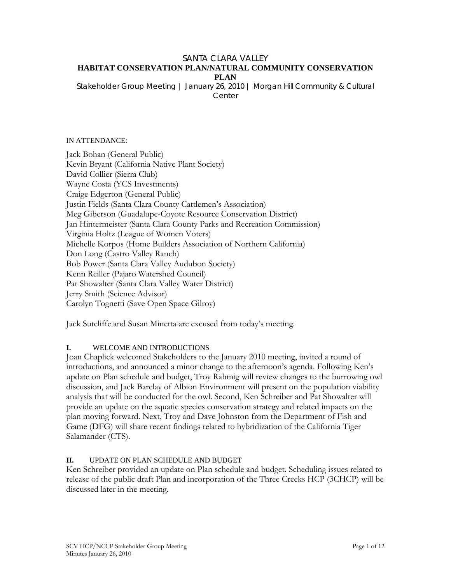#### SANTA CLARA VALLEY **HABITAT CONSERVATION PLAN/NATURAL COMMUNITY CONSERVATION PLAN**

*Stakeholder Group Meeting | January 26, 2010 | Morgan Hill Community & Cultural Center* 

#### IN ATTENDANCE:

Jack Bohan (General Public) Kevin Bryant (California Native Plant Society) David Collier (Sierra Club) Wayne Costa (YCS Investments) Craige Edgerton (General Public) Justin Fields (Santa Clara County Cattlemen's Association) Meg Giberson (Guadalupe-Coyote Resource Conservation District) Jan Hintermeister (Santa Clara County Parks and Recreation Commission) Virginia Holtz (League of Women Voters) Michelle Korpos (Home Builders Association of Northern California) Don Long (Castro Valley Ranch) Bob Power (Santa Clara Valley Audubon Society) Kenn Reiller (Pajaro Watershed Council) Pat Showalter (Santa Clara Valley Water District) Jerry Smith (Science Advisor) Carolyn Tognetti (Save Open Space Gilroy)

Jack Sutcliffe and Susan Minetta are excused from today's meeting.

#### **I.** WELCOME AND INTRODUCTIONS

Joan Chaplick welcomed Stakeholders to the January 2010 meeting, invited a round of introductions, and announced a minor change to the afternoon's agenda. Following Ken's update on Plan schedule and budget, Troy Rahmig will review changes to the burrowing owl discussion, and Jack Barclay of Albion Environment will present on the population viability analysis that will be conducted for the owl. Second, Ken Schreiber and Pat Showalter will provide an update on the aquatic species conservation strategy and related impacts on the plan moving forward. Next, Troy and Dave Johnston from the Department of Fish and Game (DFG) will share recent findings related to hybridization of the California Tiger Salamander (CTS).

# **II.** UPDATE ON PLAN SCHEDULE AND BUDGET

Ken Schreiber provided an update on Plan schedule and budget. Scheduling issues related to release of the public draft Plan and incorporation of the Three Creeks HCP (3CHCP) will be discussed later in the meeting.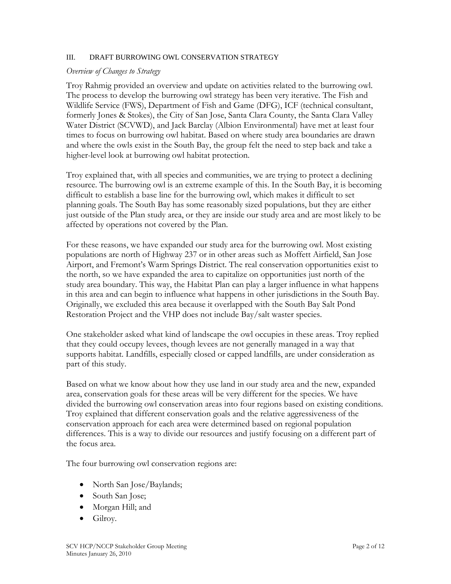### III. DRAFT BURROWING OWL CONSERVATION STRATEGY

## *Overview of Changes to Strategy*

Troy Rahmig provided an overview and update on activities related to the burrowing owl. The process to develop the burrowing owl strategy has been very iterative. The Fish and Wildlife Service (FWS), Department of Fish and Game (DFG), ICF (technical consultant, formerly Jones & Stokes), the City of San Jose, Santa Clara County, the Santa Clara Valley Water District (SCVWD), and Jack Barclay (Albion Environmental) have met at least four times to focus on burrowing owl habitat. Based on where study area boundaries are drawn and where the owls exist in the South Bay, the group felt the need to step back and take a higher-level look at burrowing owl habitat protection.

Troy explained that, with all species and communities, we are trying to protect a declining resource. The burrowing owl is an extreme example of this. In the South Bay, it is becoming difficult to establish a base line for the burrowing owl, which makes it difficult to set planning goals. The South Bay has some reasonably sized populations, but they are either just outside of the Plan study area, or they are inside our study area and are most likely to be affected by operations not covered by the Plan.

For these reasons, we have expanded our study area for the burrowing owl. Most existing populations are north of Highway 237 or in other areas such as Moffett Airfield, San Jose Airport, and Fremont's Warm Springs District. The real conservation opportunities exist to the north, so we have expanded the area to capitalize on opportunities just north of the study area boundary. This way, the Habitat Plan can play a larger influence in what happens in this area and can begin to influence what happens in other jurisdictions in the South Bay. Originally, we excluded this area because it overlapped with the South Bay Salt Pond Restoration Project and the VHP does not include Bay/salt waster species.

One stakeholder asked what kind of landscape the owl occupies in these areas. Troy replied that they could occupy levees, though levees are not generally managed in a way that supports habitat. Landfills, especially closed or capped landfills, are under consideration as part of this study.

Based on what we know about how they use land in our study area and the new, expanded area, conservation goals for these areas will be very different for the species. We have divided the burrowing owl conservation areas into four regions based on existing conditions. Troy explained that different conservation goals and the relative aggressiveness of the conservation approach for each area were determined based on regional population differences. This is a way to divide our resources and justify focusing on a different part of the focus area.

The four burrowing owl conservation regions are:

- North San Jose/Baylands;
- South San Jose;
- Morgan Hill; and
- Gilroy.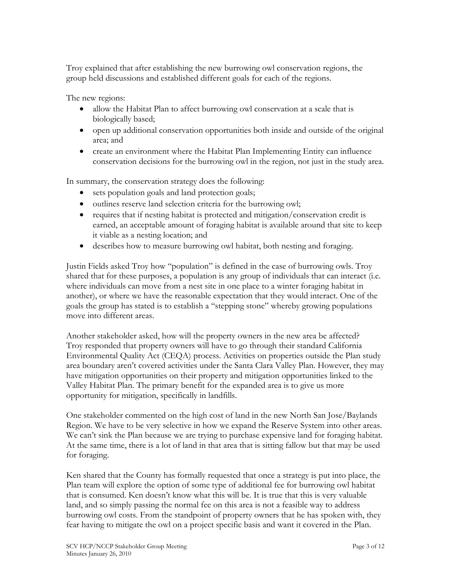Troy explained that after establishing the new burrowing owl conservation regions, the group held discussions and established different goals for each of the regions.

The new regions:

- allow the Habitat Plan to affect burrowing owl conservation at a scale that is biologically based;
- open up additional conservation opportunities both inside and outside of the original area; and
- create an environment where the Habitat Plan Implementing Entity can influence conservation decisions for the burrowing owl in the region, not just in the study area.

In summary, the conservation strategy does the following:

- sets population goals and land protection goals;
- outlines reserve land selection criteria for the burrowing owl;
- requires that if nesting habitat is protected and mitigation/conservation credit is earned, an acceptable amount of foraging habitat is available around that site to keep it viable as a nesting location; and
- describes how to measure burrowing owl habitat, both nesting and foraging.

Justin Fields asked Troy how "population" is defined in the case of burrowing owls. Troy shared that for these purposes, a population is any group of individuals that can interact (i.e. where individuals can move from a nest site in one place to a winter foraging habitat in another), or where we have the reasonable expectation that they would interact. One of the goals the group has stated is to establish a "stepping stone" whereby growing populations move into different areas.

Another stakeholder asked, how will the property owners in the new area be affected? Troy responded that property owners will have to go through their standard California Environmental Quality Act (CEQA) process. Activities on properties outside the Plan study area boundary aren't covered activities under the Santa Clara Valley Plan. However, they may have mitigation opportunities on their property and mitigation opportunities linked to the Valley Habitat Plan. The primary benefit for the expanded area is to give us more opportunity for mitigation, specifically in landfills.

One stakeholder commented on the high cost of land in the new North San Jose/Baylands Region. We have to be very selective in how we expand the Reserve System into other areas. We can't sink the Plan because we are trying to purchase expensive land for foraging habitat. At the same time, there is a lot of land in that area that is sitting fallow but that may be used for foraging.

Ken shared that the County has formally requested that once a strategy is put into place, the Plan team will explore the option of some type of additional fee for burrowing owl habitat that is consumed. Ken doesn't know what this will be. It is true that this is very valuable land, and so simply passing the normal fee on this area is not a feasible way to address burrowing owl costs. From the standpoint of property owners that he has spoken with, they fear having to mitigate the owl on a project specific basis and want it covered in the Plan.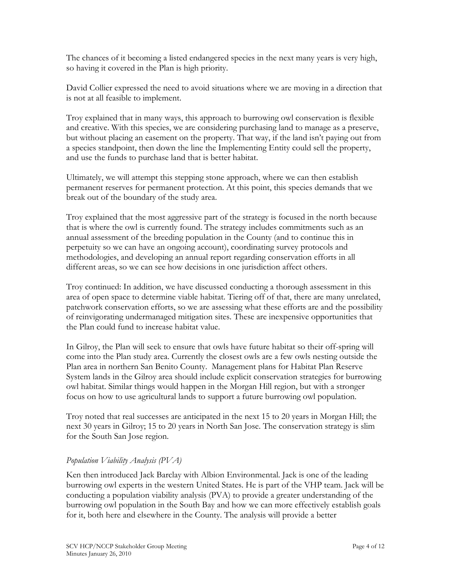The chances of it becoming a listed endangered species in the next many years is very high, so having it covered in the Plan is high priority.

David Collier expressed the need to avoid situations where we are moving in a direction that is not at all feasible to implement.

Troy explained that in many ways, this approach to burrowing owl conservation is flexible and creative. With this species, we are considering purchasing land to manage as a preserve, but without placing an easement on the property. That way, if the land isn't paying out from a species standpoint, then down the line the Implementing Entity could sell the property, and use the funds to purchase land that is better habitat.

Ultimately, we will attempt this stepping stone approach, where we can then establish permanent reserves for permanent protection. At this point, this species demands that we break out of the boundary of the study area.

Troy explained that the most aggressive part of the strategy is focused in the north because that is where the owl is currently found. The strategy includes commitments such as an annual assessment of the breeding population in the County (and to continue this in perpetuity so we can have an ongoing account), coordinating survey protocols and methodologies, and developing an annual report regarding conservation efforts in all different areas, so we can see how decisions in one jurisdiction affect others.

Troy continued: In addition, we have discussed conducting a thorough assessment in this area of open space to determine viable habitat. Tiering off of that, there are many unrelated, patchwork conservation efforts, so we are assessing what these efforts are and the possibility of reinvigorating undermanaged mitigation sites. These are inexpensive opportunities that the Plan could fund to increase habitat value.

In Gilroy, the Plan will seek to ensure that owls have future habitat so their off-spring will come into the Plan study area. Currently the closest owls are a few owls nesting outside the Plan area in northern San Benito County. Management plans for Habitat Plan Reserve System lands in the Gilroy area should include explicit conservation strategies for burrowing owl habitat. Similar things would happen in the Morgan Hill region, but with a stronger focus on how to use agricultural lands to support a future burrowing owl population.

Troy noted that real successes are anticipated in the next 15 to 20 years in Morgan Hill; the next 30 years in Gilroy; 15 to 20 years in North San Jose. The conservation strategy is slim for the South San Jose region.

# *Population Viability Analysis (PVA)*

Ken then introduced Jack Barclay with Albion Environmental. Jack is one of the leading burrowing owl experts in the western United States. He is part of the VHP team. Jack will be conducting a population viability analysis (PVA) to provide a greater understanding of the burrowing owl population in the South Bay and how we can more effectively establish goals for it, both here and elsewhere in the County. The analysis will provide a better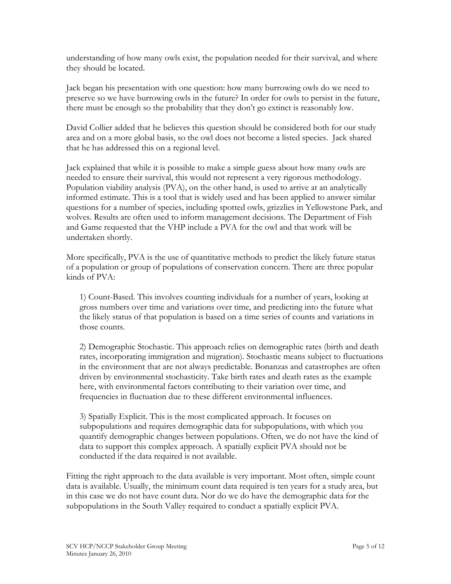understanding of how many owls exist, the population needed for their survival, and where they should be located.

Jack began his presentation with one question: how many burrowing owls do we need to preserve so we have burrowing owls in the future? In order for owls to persist in the future, there must be enough so the probability that they don't go extinct is reasonably low.

David Collier added that he believes this question should be considered both for our study area and on a more global basis, so the owl does not become a listed species. Jack shared that he has addressed this on a regional level.

Jack explained that while it is possible to make a simple guess about how many owls are needed to ensure their survival, this would not represent a very rigorous methodology. Population viability analysis (PVA), on the other hand, is used to arrive at an analytically informed estimate. This is a tool that is widely used and has been applied to answer similar questions for a number of species, including spotted owls, grizzlies in Yellowstone Park, and wolves. Results are often used to inform management decisions. The Department of Fish and Game requested that the VHP include a PVA for the owl and that work will be undertaken shortly.

More specifically, PVA is the use of quantitative methods to predict the likely future status of a population or group of populations of conservation concern. There are three popular kinds of PVA:

1) Count-Based. This involves counting individuals for a number of years, looking at gross numbers over time and variations over time, and predicting into the future what the likely status of that population is based on a time series of counts and variations in those counts.

2) Demographic Stochastic. This approach relies on demographic rates (birth and death rates, incorporating immigration and migration). Stochastic means subject to fluctuations in the environment that are not always predictable. Bonanzas and catastrophes are often driven by environmental stochasticity. Take birth rates and death rates as the example here, with environmental factors contributing to their variation over time, and frequencies in fluctuation due to these different environmental influences.

3) Spatially Explicit. This is the most complicated approach. It focuses on subpopulations and requires demographic data for subpopulations, with which you quantify demographic changes between populations. Often, we do not have the kind of data to support this complex approach. A spatially explicit PVA should not be conducted if the data required is not available.

Fitting the right approach to the data available is very important. Most often, simple count data is available. Usually, the minimum count data required is ten years for a study area, but in this case we do not have count data. Nor do we do have the demographic data for the subpopulations in the South Valley required to conduct a spatially explicit PVA.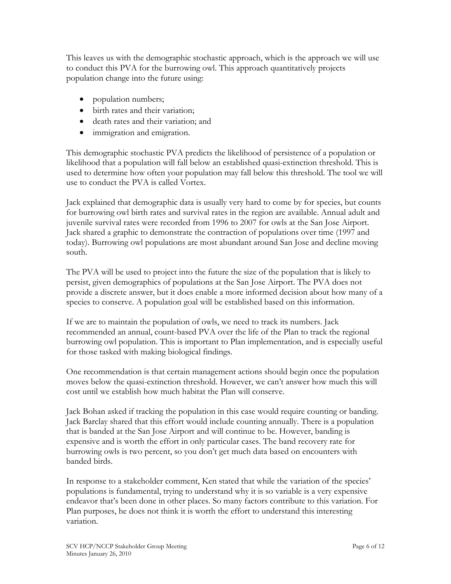This leaves us with the demographic stochastic approach, which is the approach we will use to conduct this PVA for the burrowing owl. This approach quantitatively projects population change into the future using:

- population numbers;
- birth rates and their variation;
- death rates and their variation; and
- immigration and emigration.

This demographic stochastic PVA predicts the likelihood of persistence of a population or likelihood that a population will fall below an established quasi-extinction threshold. This is used to determine how often your population may fall below this threshold. The tool we will use to conduct the PVA is called Vortex.

Jack explained that demographic data is usually very hard to come by for species, but counts for burrowing owl birth rates and survival rates in the region are available. Annual adult and juvenile survival rates were recorded from 1996 to 2007 for owls at the San Jose Airport. Jack shared a graphic to demonstrate the contraction of populations over time (1997 and today). Burrowing owl populations are most abundant around San Jose and decline moving south.

The PVA will be used to project into the future the size of the population that is likely to persist, given demographics of populations at the San Jose Airport. The PVA does not provide a discrete answer, but it does enable a more informed decision about how many of a species to conserve. A population goal will be established based on this information.

If we are to maintain the population of owls, we need to track its numbers. Jack recommended an annual, count-based PVA over the life of the Plan to track the regional burrowing owl population. This is important to Plan implementation, and is especially useful for those tasked with making biological findings.

One recommendation is that certain management actions should begin once the population moves below the quasi-extinction threshold. However, we can't answer how much this will cost until we establish how much habitat the Plan will conserve.

Jack Bohan asked if tracking the population in this case would require counting or banding. Jack Barclay shared that this effort would include counting annually. There is a population that is banded at the San Jose Airport and will continue to be. However, banding is expensive and is worth the effort in only particular cases. The band recovery rate for burrowing owls is two percent, so you don't get much data based on encounters with banded birds.

In response to a stakeholder comment, Ken stated that while the variation of the species' populations is fundamental, trying to understand why it is so variable is a very expensive endeavor that's been done in other places. So many factors contribute to this variation. For Plan purposes, he does not think it is worth the effort to understand this interesting variation.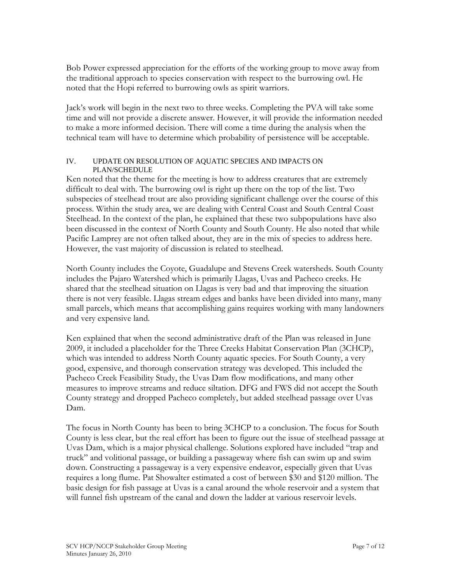Bob Power expressed appreciation for the efforts of the working group to move away from the traditional approach to species conservation with respect to the burrowing owl. He noted that the Hopi referred to burrowing owls as spirit warriors.

Jack's work will begin in the next two to three weeks. Completing the PVA will take some time and will not provide a discrete answer. However, it will provide the information needed to make a more informed decision. There will come a time during the analysis when the technical team will have to determine which probability of persistence will be acceptable.

### IV. UPDATE ON RESOLUTION OF AQUATIC SPECIES AND IMPACTS ON PLAN/SCHEDULE

Ken noted that the theme for the meeting is how to address creatures that are extremely difficult to deal with. The burrowing owl is right up there on the top of the list. Two subspecies of steelhead trout are also providing significant challenge over the course of this process. Within the study area, we are dealing with Central Coast and South Central Coast Steelhead. In the context of the plan, he explained that these two subpopulations have also been discussed in the context of North County and South County. He also noted that while Pacific Lamprey are not often talked about, they are in the mix of species to address here. However, the vast majority of discussion is related to steelhead.

North County includes the Coyote, Guadalupe and Stevens Creek watersheds. South County includes the Pajaro Watershed which is primarily Llagas, Uvas and Pacheco creeks. He shared that the steelhead situation on Llagas is very bad and that improving the situation there is not very feasible. Llagas stream edges and banks have been divided into many, many small parcels, which means that accomplishing gains requires working with many landowners and very expensive land.

Ken explained that when the second administrative draft of the Plan was released in June 2009, it included a placeholder for the Three Creeks Habitat Conservation Plan (3CHCP), which was intended to address North County aquatic species. For South County, a very good, expensive, and thorough conservation strategy was developed. This included the Pacheco Creek Feasibility Study, the Uvas Dam flow modifications, and many other measures to improve streams and reduce siltation. DFG and FWS did not accept the South County strategy and dropped Pacheco completely, but added steelhead passage over Uvas Dam.

The focus in North County has been to bring 3CHCP to a conclusion. The focus for South County is less clear, but the real effort has been to figure out the issue of steelhead passage at Uvas Dam, which is a major physical challenge. Solutions explored have included "trap and truck" and volitional passage, or building a passageway where fish can swim up and swim down. Constructing a passageway is a very expensive endeavor, especially given that Uvas requires a long flume. Pat Showalter estimated a cost of between \$30 and \$120 million. The basic design for fish passage at Uvas is a canal around the whole reservoir and a system that will funnel fish upstream of the canal and down the ladder at various reservoir levels.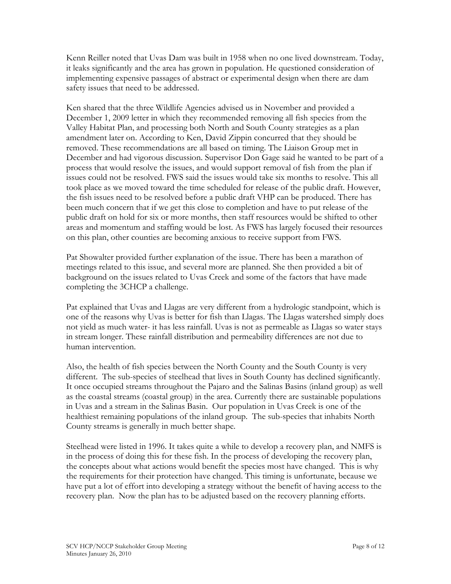Kenn Reiller noted that Uvas Dam was built in 1958 when no one lived downstream. Today, it leaks significantly and the area has grown in population. He questioned consideration of implementing expensive passages of abstract or experimental design when there are dam safety issues that need to be addressed.

Ken shared that the three Wildlife Agencies advised us in November and provided a December 1, 2009 letter in which they recommended removing all fish species from the Valley Habitat Plan, and processing both North and South County strategies as a plan amendment later on. According to Ken, David Zippin concurred that they should be removed. These recommendations are all based on timing. The Liaison Group met in December and had vigorous discussion. Supervisor Don Gage said he wanted to be part of a process that would resolve the issues, and would support removal of fish from the plan if issues could not be resolved. FWS said the issues would take six months to resolve. This all took place as we moved toward the time scheduled for release of the public draft. However, the fish issues need to be resolved before a public draft VHP can be produced. There has been much concern that if we get this close to completion and have to put release of the public draft on hold for six or more months, then staff resources would be shifted to other areas and momentum and staffing would be lost. As FWS has largely focused their resources on this plan, other counties are becoming anxious to receive support from FWS.

Pat Showalter provided further explanation of the issue. There has been a marathon of meetings related to this issue, and several more are planned. She then provided a bit of background on the issues related to Uvas Creek and some of the factors that have made completing the 3CHCP a challenge.

Pat explained that Uvas and Llagas are very different from a hydrologic standpoint, which is one of the reasons why Uvas is better for fish than Llagas. The Llagas watershed simply does not yield as much water- it has less rainfall. Uvas is not as permeable as Llagas so water stays in stream longer. These rainfall distribution and permeability differences are not due to human intervention.

Also, the health of fish species between the North County and the South County is very different. The sub-species of steelhead that lives in South County has declined significantly. It once occupied streams throughout the Pajaro and the Salinas Basins (inland group) as well as the coastal streams (coastal group) in the area. Currently there are sustainable populations in Uvas and a stream in the Salinas Basin. Our population in Uvas Creek is one of the healthiest remaining populations of the inland group. The sub-species that inhabits North County streams is generally in much better shape.

Steelhead were listed in 1996. It takes quite a while to develop a recovery plan, and NMFS is in the process of doing this for these fish. In the process of developing the recovery plan, the concepts about what actions would benefit the species most have changed. This is why the requirements for their protection have changed. This timing is unfortunate, because we have put a lot of effort into developing a strategy without the benefit of having access to the recovery plan. Now the plan has to be adjusted based on the recovery planning efforts.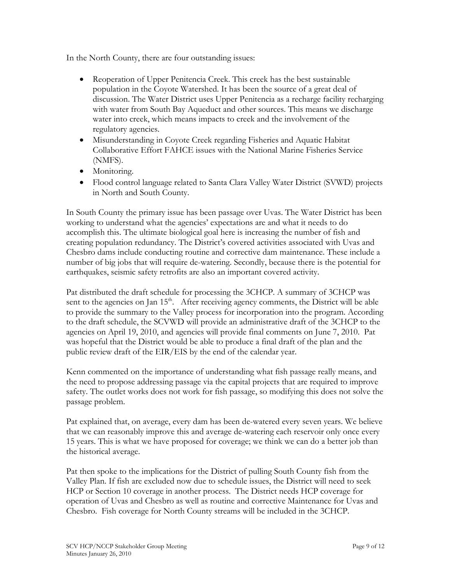In the North County, there are four outstanding issues:

- Reoperation of Upper Penitencia Creek. This creek has the best sustainable population in the Coyote Watershed. It has been the source of a great deal of discussion. The Water District uses Upper Penitencia as a recharge facility recharging with water from South Bay Aqueduct and other sources. This means we discharge water into creek, which means impacts to creek and the involvement of the regulatory agencies.
- Misunderstanding in Coyote Creek regarding Fisheries and Aquatic Habitat Collaborative Effort FAHCE issues with the National Marine Fisheries Service (NMFS).
- Monitoring.
- Flood control language related to Santa Clara Valley Water District (SVWD) projects in North and South County.

In South County the primary issue has been passage over Uvas. The Water District has been working to understand what the agencies' expectations are and what it needs to do accomplish this. The ultimate biological goal here is increasing the number of fish and creating population redundancy. The District's covered activities associated with Uvas and Chesbro dams include conducting routine and corrective dam maintenance. These include a number of big jobs that will require de-watering. Secondly, because there is the potential for earthquakes, seismic safety retrofits are also an important covered activity.

Pat distributed the draft schedule for processing the 3CHCP. A summary of 3CHCP was sent to the agencies on Jan  $15<sup>th</sup>$ . After receiving agency comments, the District will be able to provide the summary to the Valley process for incorporation into the program. According to the draft schedule, the SCVWD will provide an administrative draft of the 3CHCP to the agencies on April 19, 2010, and agencies will provide final comments on June 7, 2010. Pat was hopeful that the District would be able to produce a final draft of the plan and the public review draft of the EIR/EIS by the end of the calendar year.

Kenn commented on the importance of understanding what fish passage really means, and the need to propose addressing passage via the capital projects that are required to improve safety. The outlet works does not work for fish passage, so modifying this does not solve the passage problem.

Pat explained that, on average, every dam has been de-watered every seven years. We believe that we can reasonably improve this and average de-watering each reservoir only once every 15 years. This is what we have proposed for coverage; we think we can do a better job than the historical average.

Pat then spoke to the implications for the District of pulling South County fish from the Valley Plan. If fish are excluded now due to schedule issues, the District will need to seek HCP or Section 10 coverage in another process. The District needs HCP coverage for operation of Uvas and Chesbro as well as routine and corrective Maintenance for Uvas and Chesbro. Fish coverage for North County streams will be included in the 3CHCP.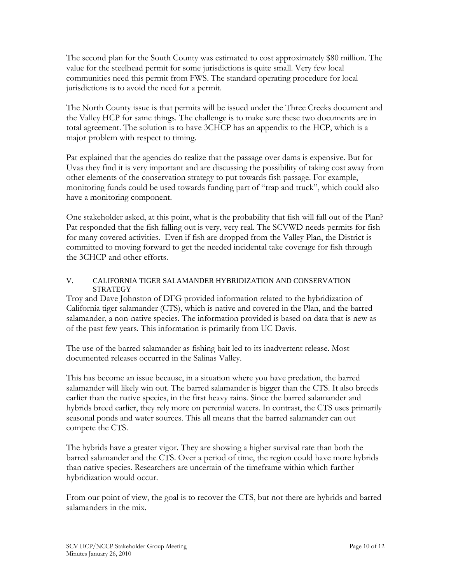The second plan for the South County was estimated to cost approximately \$80 million. The value for the steelhead permit for some jurisdictions is quite small. Very few local communities need this permit from FWS. The standard operating procedure for local jurisdictions is to avoid the need for a permit.

The North County issue is that permits will be issued under the Three Creeks document and the Valley HCP for same things. The challenge is to make sure these two documents are in total agreement. The solution is to have 3CHCP has an appendix to the HCP, which is a major problem with respect to timing.

Pat explained that the agencies do realize that the passage over dams is expensive. But for Uvas they find it is very important and are discussing the possibility of taking cost away from other elements of the conservation strategy to put towards fish passage. For example, monitoring funds could be used towards funding part of "trap and truck", which could also have a monitoring component.

One stakeholder asked, at this point, what is the probability that fish will fall out of the Plan? Pat responded that the fish falling out is very, very real. The SCVWD needs permits for fish for many covered activities. Even if fish are dropped from the Valley Plan, the District is committed to moving forward to get the needed incidental take coverage for fish through the 3CHCP and other efforts.

## V. CALIFORNIA TIGER SALAMANDER HYBRIDIZATION AND CONSERVATION **STRATEGY**

Troy and Dave Johnston of DFG provided information related to the hybridization of California tiger salamander (CTS), which is native and covered in the Plan, and the barred salamander, a non-native species. The information provided is based on data that is new as of the past few years. This information is primarily from UC Davis.

The use of the barred salamander as fishing bait led to its inadvertent release. Most documented releases occurred in the Salinas Valley.

This has become an issue because, in a situation where you have predation, the barred salamander will likely win out. The barred salamander is bigger than the CTS. It also breeds earlier than the native species, in the first heavy rains. Since the barred salamander and hybrids breed earlier, they rely more on perennial waters. In contrast, the CTS uses primarily seasonal ponds and water sources. This all means that the barred salamander can out compete the CTS.

The hybrids have a greater vigor. They are showing a higher survival rate than both the barred salamander and the CTS. Over a period of time, the region could have more hybrids than native species. Researchers are uncertain of the timeframe within which further hybridization would occur.

From our point of view, the goal is to recover the CTS, but not there are hybrids and barred salamanders in the mix.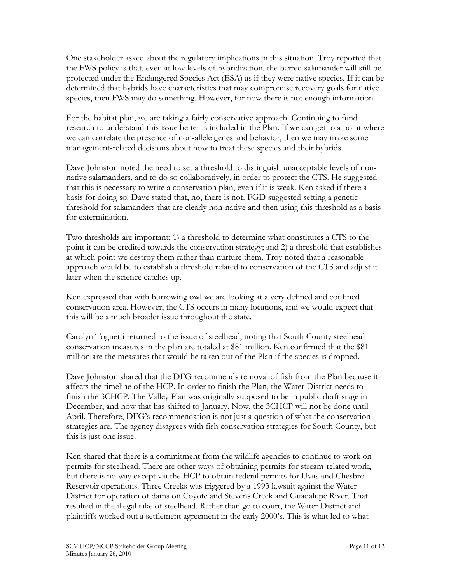One stakeholder asked about the regulatory implications in this situation. Troy reported that the FWS policy is that, even at low levels of hybridization, the barred salamander will still be protected under the Endangered Species Act (ESA) as if they were native species. If it can be determined that hybrids have characteristics that may compromise recovery goals for native species, then FWS may do something. However, for now there is not enough information.

For the habitat plan, we are taking a fairly conservative approach. Continuing to fund research to understand this issue better is included in the Plan. If we can get to a point where we can correlate the presence of non-allele genes and behavior, then we may make some management-related decisions about how to treat these species and their hybrids.

Dave Johnston noted the need to set a threshold to distinguish unacceptable levels of nonnative salamanders, and to do so collaboratively, in order to protect the CTS. He suggested that this is necessary to write a conservation plan, even if it is weak. Ken asked if there a basis for doing so. Dave stated that, no, there is not. FGD suggested setting a genetic threshold for salamanders that are clearly non-native and then using this threshold as a basis for extermination.

Two thresholds are important: 1) a threshold to determine what constitutes a CTS to the point it can be credited towards the conservation strategy; and 2) a threshold that establishes at which point we destroy them rather than nurture them. Troy noted that a reasonable approach would be to establish a threshold related to conservation of the CTS and adjust it later when the science catches up.

Ken expressed that with burrowing owl we are looking at a very defined and confined conservation area. However, the CTS occurs in many locations, and we would expect that this will be a much broader issue throughout the state.

Carolyn Tognetti returned to the issue of steelhead, noting that South County steelhead conservation measures in the plan are totaled at \$81 million. Ken confirmed that the \$81 million are the measures that would be taken out of the Plan if the species is dropped.

Dave Johnston shared that the DFG recommends removal of fish from the Plan because it affects the timeline of the HCP. In order to finish the Plan, the Water District needs to finish the 3CHCP. The Valley Plan was originally supposed to be in public draft stage in December, and now that has shifted to January. Now, the 3CHCP will not be done until April. Therefore, DFG's recommendation is not just a question of what the conservation strategies are. The agency disagrees with fish conservation strategies for South County, but this is just one issue.

Ken shared that there is a commitment from the wildlife agencies to continue to work on permits for steelhead. There are other ways of obtaining permits for stream-related work, but there is no way except via the HCP to obtain federal permits for Uvas and Chesbro Reservoir operations. Three Creeks was triggered by a 1993 lawsuit against the Water District for operation of dams on Coyote and Stevens Creek and Guadalupe River. That resulted in the illegal take of steelhead. Rather than go to court, the Water District and plaintiffs worked out a settlement agreement in the early 2000's. This is what led to what